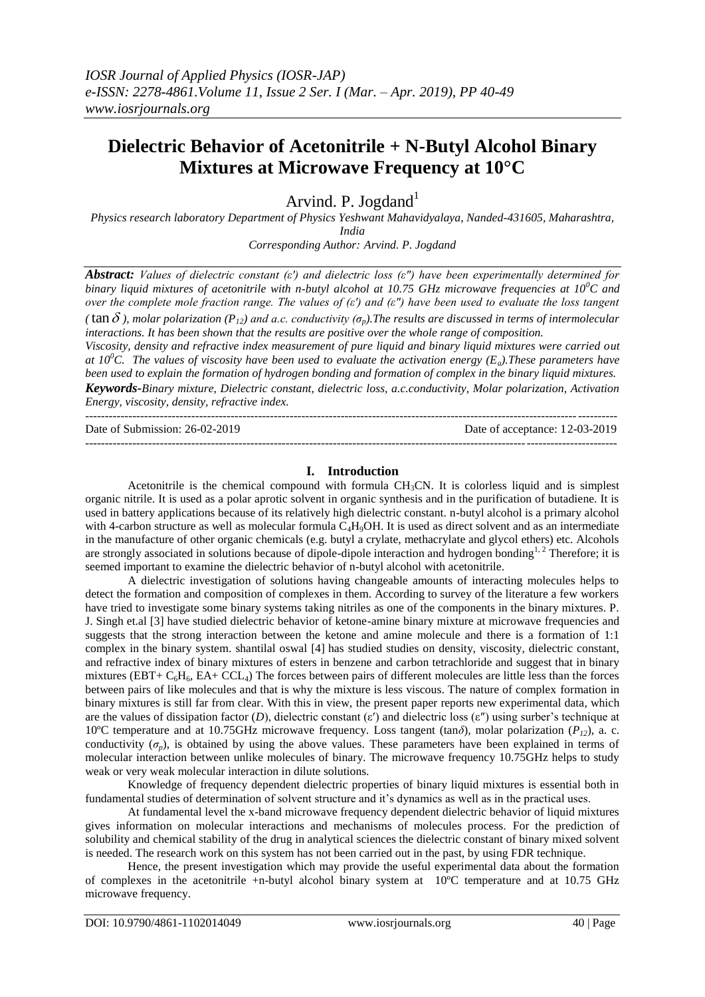# **Dielectric Behavior of Acetonitrile + N-Butyl Alcohol Binary Mixtures at Microwave Frequency at 10°C**

Arvind. P. Jogdand<sup>1</sup>

*Physics research laboratory Department of Physics Yeshwant Mahavidyalaya, Nanded-431605, Maharashtra, India*

*Corresponding Author: Arvind. P. Jogdand* 

*Abstract: Values of dielectric constant (ε′) and dielectric loss (ε″) have been experimentally determined for binary liquid mixtures of acetonitrile with n-butyl alcohol at 10.75 GHz microwave frequencies at 10<sup>0</sup>C and over the complete mole fraction range. The values of (ε′) and (ε″) have been used to evaluate the loss tangent*  (  $\tan \delta$  ), molar polarization ( $P_{12}$ ) and a.c. conductivity ( $\sigma_p$ ). The results are discussed in terms of intermolecular *interactions. It has been shown that the results are positive over the whole range of composition.*

*Viscosity, density and refractive index measurement of pure liquid and binary liquid mixtures were carried out at 10<sup>0</sup>C. The values of viscosity have been used to evaluate the activation energy*  $(E_a)$ *. These parameters have been used to explain the formation of hydrogen bonding and formation of complex in the binary liquid mixtures. Keywords-Binary mixture, Dielectric constant, dielectric loss, a.c.conductivity, Molar polarization, Activation Energy, viscosity, density, refractive index.* 

| Date of Submission: 26-02-2019 | Date of acceptance: 12-03-2019 |
|--------------------------------|--------------------------------|
|                                |                                |

## **I. Introduction**

Acetonitrile is the chemical compound with formula  $CH<sub>3</sub>CN$ . It is colorless liquid and is simplest organic nitrile. It is used as a polar aprotic solvent in organic synthesis and in the purification of butadiene. It is used in battery applications because of its relatively high dielectric constant. n-butyl alcohol is a primary alcohol with 4-carbon structure as well as molecular formula C<sub>4</sub>H<sub>9</sub>OH. It is used as direct solvent and as an intermediate in the manufacture of other organic chemicals (e.g. butyl a crylate, methacrylate and glycol ethers) etc. Alcohols are strongly associated in solutions because of dipole-dipole interaction and hydrogen bonding<sup>1, 2</sup> Therefore; it is seemed important to examine the dielectric behavior of n-butyl alcohol with acetonitrile.

A dielectric investigation of solutions having changeable amounts of interacting molecules helps to detect the formation and composition of complexes in them. According to survey of the literature a few workers have tried to investigate some binary systems taking nitriles as one of the components in the binary mixtures. P. J. Singh et.al [3] have studied dielectric behavior of ketone-amine binary mixture at microwave frequencies and suggests that the strong interaction between the ketone and amine molecule and there is a formation of 1:1 complex in the binary system. shantilal oswal [4] has studied studies on density, viscosity, dielectric constant, and refractive index of binary mixtures of esters in benzene and carbon tetrachloride and suggest that in binary mixtures (EBT+  $C_6H_6$ , EA+ CCL<sub>4</sub>) The forces between pairs of different molecules are little less than the forces between pairs of like molecules and that is why the mixture is less viscous. The nature of complex formation in binary mixtures is still far from clear. With this in view, the present paper reports new experimental data, which are the values of dissipation factor (*D*), dielectric constant (ε′) and dielectric loss (ε″) using surber's technique at 10ºC temperature and at 10.75GHz microwave frequency. Loss tangent (tan*δ*), molar polarization (*P12*), a. c. conductivity  $(\sigma_p)$ , is obtained by using the above values. These parameters have been explained in terms of molecular interaction between unlike molecules of binary. The microwave frequency 10.75GHz helps to study weak or very weak molecular interaction in dilute solutions.

Knowledge of frequency dependent dielectric properties of binary liquid mixtures is essential both in fundamental studies of determination of solvent structure and it's dynamics as well as in the practical uses.

At fundamental level the x-band microwave frequency dependent dielectric behavior of liquid mixtures gives information on molecular interactions and mechanisms of molecules process. For the prediction of solubility and chemical stability of the drug in analytical sciences the dielectric constant of binary mixed solvent is needed. The research work on this system has not been carried out in the past, by using FDR technique.

Hence, the present investigation which may provide the useful experimental data about the formation of complexes in the acetonitrile +n-butyl alcohol binary system at 10ºC temperature and at 10.75 GHz microwave frequency.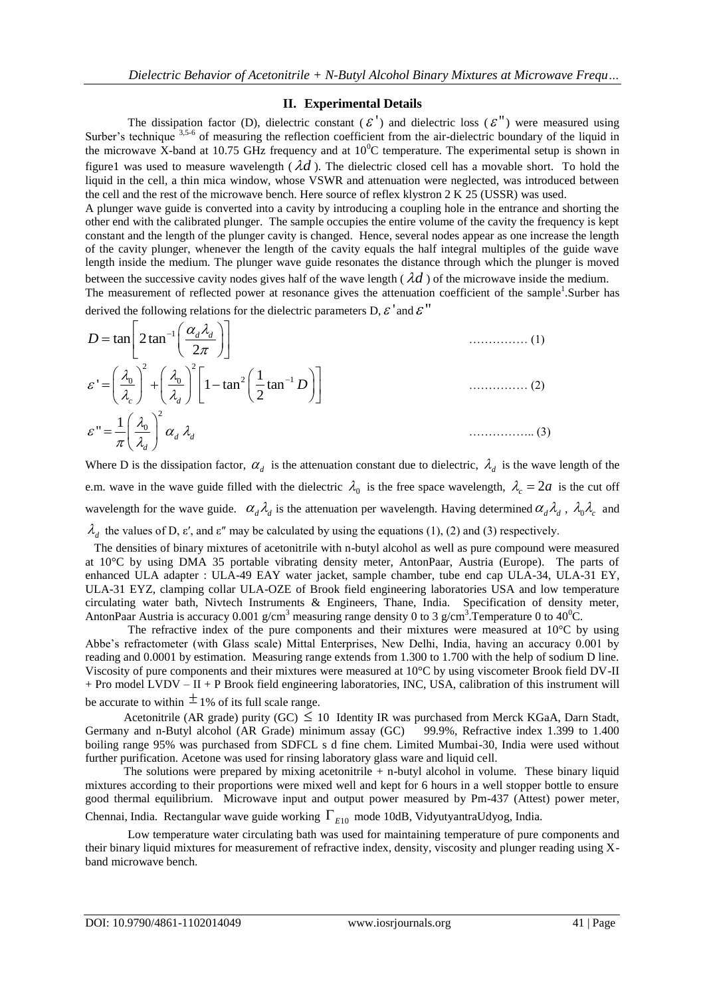## **II. Experimental Details**

The dissipation factor (D), dielectric constant ( $\mathcal{E}'$ ) and dielectric loss ( $\mathcal{E}''$ ) were measured using Surber's technique <sup>3,5-6</sup> of measuring the reflection coefficient from the air-dielectric boundary of the liquid in the microwave X-band at 10.75 GHz frequency and at  $10^{0}$ C temperature. The experimental setup is shown in figure1 was used to measure wavelength  $(\lambda d)$ . The dielectric closed cell has a movable short. To hold the liquid in the cell, a thin mica window, whose VSWR and attenuation were neglected, was introduced between the cell and the rest of the microwave bench. Here source of reflex klystron 2 K 25 (USSR) was used.

A plunger wave guide is converted into a cavity by introducing a coupling hole in the entrance and shorting the other end with the calibrated plunger. The sample occupies the entire volume of the cavity the frequency is kept constant and the length of the plunger cavity is changed. Hence, several nodes appear as one increase the length of the cavity plunger, whenever the length of the cavity equals the half integral multiples of the guide wave length inside the medium. The plunger wave guide resonates the distance through which the plunger is moved between the successive cavity nodes gives half of the wave length  $(\lambda d)$  of the microwave inside the medium.

The measurement of reflected power at resonance gives the attenuation coefficient of the sample<sup>1</sup>.Surber has derived the following relations for the dielectric parameters D,  $\mathcal{E}'$  and  $\mathcal{E}''$ 

$$
D = \tan \left[ 2 \tan^{-1} \left( \frac{\alpha_d \lambda_d}{2\pi} \right) \right]
$$
  
\n
$$
\varepsilon' = \left( \frac{\lambda_0}{\lambda_c} \right)^2 + \left( \frac{\lambda_0}{\lambda_d} \right)^2 \left[ 1 - \tan^2 \left( \frac{1}{2} \tan^{-1} D \right) \right]
$$
  
\n
$$
\varepsilon'' = \frac{1}{\pi} \left( \frac{\lambda_0}{\lambda_d} \right)^2 \alpha_d \lambda_d
$$
 (3)

Where D is the dissipation factor,  $\alpha_d$  is the attenuation constant due to dielectric,  $\lambda_d$  is the wave length of the e.m. wave in the wave guide filled with the dielectric  $\lambda_0$  is the free space wavelength,  $\lambda_c = 2a$  is the cut off wavelength for the wave guide.  $\alpha_d \lambda_d$  is the attenuation per wavelength. Having determined  $\alpha_d \lambda_d$ ,  $\lambda_0 \lambda_c$  and  $\lambda_d$  the values of D,  $\varepsilon'$ , and  $\varepsilon''$  may be calculated by using the equations (1), (2) and (3) respectively.

 The densities of binary mixtures of acetonitrile with n-butyl alcohol as well as pure compound were measured at 10°C by using DMA 35 portable vibrating density meter, AntonPaar, Austria (Europe). The parts of enhanced ULA adapter : ULA-49 EAY water jacket, sample chamber, tube end cap ULA-34, ULA-31 EY, ULA-31 EYZ, clamping collar ULA-OZE of Brook field engineering laboratories USA and low temperature circulating water bath, Nivtech Instruments & Engineers, Thane, India. Specification of density meter, AntonPaar Austria is accuracy 0.001 g/cm<sup>3</sup> measuring range density 0 to 3 g/cm<sup>3</sup>. Temperature 0 to 40<sup>0</sup>C.

The refractive index of the pure components and their mixtures were measured at  $10^{\circ}$ C by using Abbe's refractometer (with Glass scale) Mittal Enterprises, New Delhi, India, having an accuracy 0.001 by reading and 0.0001 by estimation. Measuring range extends from 1.300 to 1.700 with the help of sodium D line. Viscosity of pure components and their mixtures were measured at 10°C by using viscometer Brook field DV-II + Pro model LVDV – II + P Brook field engineering laboratories, INC, USA, calibration of this instrument will be accurate to within  $\pm$  1% of its full scale range.

Acetonitrile (AR grade) purity (GC)  $\leq 10$  Identity IR was purchased from Merck KGaA, Darn Stadt, Germany and n-Butyl alcohol (AR Grade) minimum assay (GC) 99.9%, Refractive index 1.399 to 1.400 boiling range 95% was purchased from SDFCL s d fine chem. Limited Mumbai-30, India were used without further purification. Acetone was used for rinsing laboratory glass ware and liquid cell.

 The solutions were prepared by mixing acetonitrile + n-butyl alcohol in volume. These binary liquid mixtures according to their proportions were mixed well and kept for 6 hours in a well stopper bottle to ensure good thermal equilibrium. Microwave input and output power measured by Pm-437 (Attest) power meter, Chennai, India. Rectangular wave guide working  $\Gamma_{E10}$  mode 10dB, VidyutyantraUdyog, India.

Low temperature water circulating bath was used for maintaining temperature of pure components and their binary liquid mixtures for measurement of refractive index, density, viscosity and plunger reading using Xband microwave bench.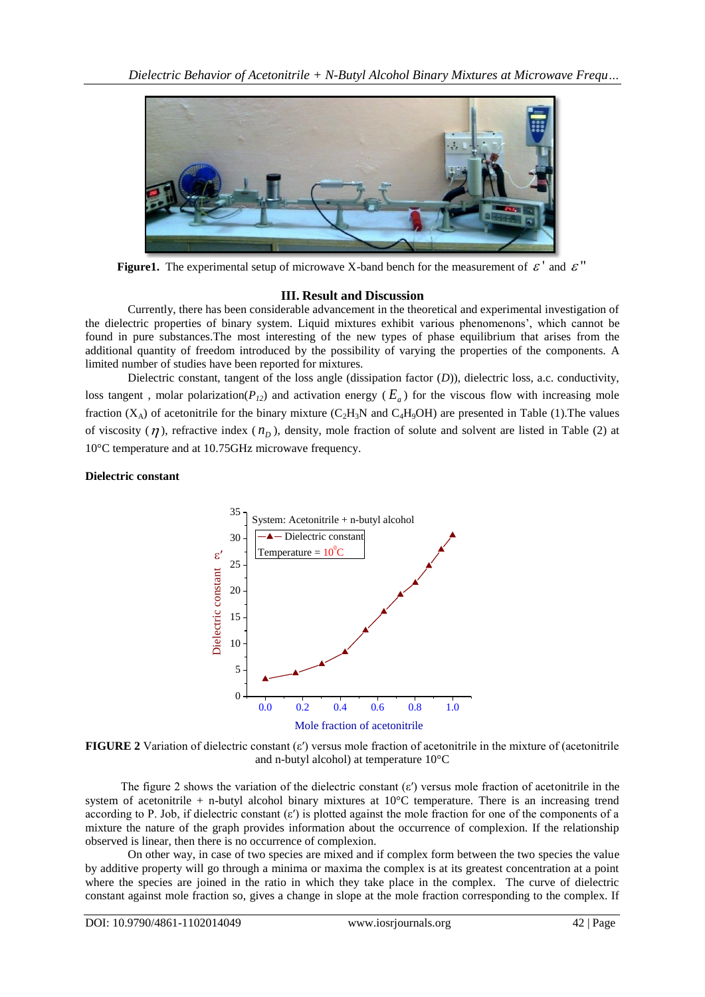

**Figure1.** The experimental setup of microwave X-band bench for the measurement of  $\mathcal{E}'$  and  $\mathcal{E}''$ 

### **III. Result and Discussion**

Currently, there has been considerable advancement in the theoretical and experimental investigation of the dielectric properties of binary system. Liquid mixtures exhibit various phenomenons', which cannot be found in pure substances.The most interesting of the new types of phase equilibrium that arises from the additional quantity of freedom introduced by the possibility of varying the properties of the components. A limited number of studies have been reported for mixtures.

Dielectric constant, tangent of the loss angle (dissipation factor (*D*)), dielectric loss, a.c. conductivity, loss tangent, molar polarization( $P_{12}$ ) and activation energy ( $E_a$ ) for the viscous flow with increasing mole fraction  $(X_A)$  of acetonitrile for the binary mixture  $(C_2H_3N$  and  $C_4H_9OH$ ) are presented in Table (1). The values of viscosity  $(\eta)$ , refractive index  $(n<sub>p</sub>)$ , density, mole fraction of solute and solvent are listed in Table (2) at 10°C temperature and at 10.75GHz microwave frequency.

## **Dielectric constant**



**FIGURE 2** Variation of dielectric constant  $(\epsilon')$  versus mole fraction of acetonitrile in the mixture of (acetonitrile and n-butyl alcohol) at temperature 10°C

The figure 2 shows the variation of the dielectric constant  $(\epsilon')$  versus mole fraction of acetonitrile in the system of acetonitrile  $+$  n-butyl alcohol binary mixtures at 10 $^{\circ}$ C temperature. There is an increasing trend according to P. Job, if dielectric constant (ε′) is plotted against the mole fraction for one of the components of a mixture the nature of the graph provides information about the occurrence of complexion. If the relationship observed is linear, then there is no occurrence of complexion.

On other way, in case of two species are mixed and if complex form between the two species the value by additive property will go through a minima or maxima the complex is at its greatest concentration at a point where the species are joined in the ratio in which they take place in the complex. The curve of dielectric constant against mole fraction so, gives a change in slope at the mole fraction corresponding to the complex. If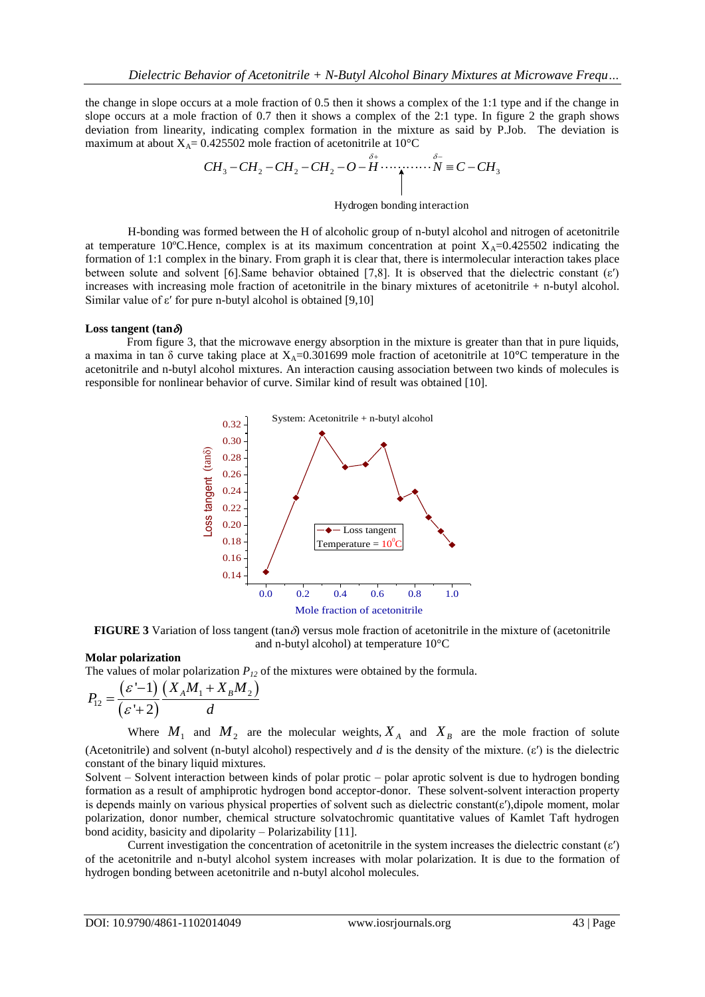the change in slope occurs at a mole fraction of 0.5 then it shows a complex of the 1:1 type and if the change in slope occurs at a mole fraction of 0.7 then it shows a complex of the 2:1 type. In figure 2 the graph shows deviation from linearity, indicating complex formation in the mixture as said by P.Job. The deviation is deviation from linearity, indicating complex formation in the mixture as said by P.Jo<br>maximum at about  $X_A = 0.425502$  mole fraction of acetonitrile at  $10^{\circ}C$ <br> $CH_3 - CH_2 - CH_2 - CH_2 - O - H \cdots \qquad N \equiv C - CH_3$ 

$$
CH_3-CH_2-CH_2-CH_2-O-\overset{\delta_+}{H}\cdots\cdots\overset{\delta_-}{N}\equiv C-CH_2
$$

#### Hydrogen bonding interaction

H-bonding was formed between the H of alcoholic group of n-butyl alcohol and nitrogen of acetonitrile at temperature 10°C.Hence, complex is at its maximum concentration at point  $X_A=0.425502$  indicating the formation of 1:1 complex in the binary. From graph it is clear that, there is intermolecular interaction takes place between solute and solvent [6].Same behavior obtained [7,8]. It is observed that the dielectric constant (ε′) increases with increasing mole fraction of acetonitrile in the binary mixtures of acetonitrile + n-butyl alcohol. Similar value of  $\varepsilon'$  for pure n-butyl alcohol is obtained [9,10]

#### **Loss tangent (tan** $\delta$ **)**

 From figure 3, that the microwave energy absorption in the mixture is greater than that in pure liquids, a maxima in tan  $\delta$  curve taking place at  $X_A$ =0.301699 mole fraction of acetonitrile at 10<sup>o</sup>C temperature in the acetonitrile and n-butyl alcohol mixtures. An interaction causing association between two kinds of molecules is responsible for nonlinear behavior of curve. Similar kind of result was obtained [10].



**FIGURE 3** Variation of loss tangent (tan $\delta$ ) versus mole fraction of acetonitrile in the mixture of (acetonitrile and n-butyl alcohol) at temperature 10°C

#### **Molar polarization**

The values of molar polarization  $P_{12}$  of the mixtures were obtained by the formula.<br>  $P_{12} = \frac{(\varepsilon' - 1)}{(\varepsilon - \varepsilon_0)} \frac{(X_A M_1 + X_B M_2)}{(X_A M_1 + X_B M_2)}$ 

$$
P_{12} = \frac{(\varepsilon' - 1)}{(\varepsilon' + 2)} \frac{(X_A M_1 + X_B M_2)}{d}
$$

Where  $M_1$  and  $M_2$  are the molecular weights,  $X_A$  and  $X_B$  are the mole fraction of solute (Acetonitrile) and solvent (n-butyl alcohol) respectively and *d* is the density of the mixture. (ε′) is the dielectric constant of the binary liquid mixtures.

Solvent – Solvent interaction between kinds of polar protic – polar aprotic solvent is due to hydrogen bonding formation as a result of amphiprotic hydrogen bond acceptor-donor. These solvent-solvent interaction property is depends mainly on various physical properties of solvent such as dielectric constant(ε′),dipole moment, molar polarization, donor number, chemical structure solvatochromic quantitative values of Kamlet Taft hydrogen bond acidity, basicity and dipolarity – Polarizability [11].

Current investigation the concentration of acetonitrile in the system increases the dielectric constant  $(\varepsilon')$ of the acetonitrile and n-butyl alcohol system increases with molar polarization. It is due to the formation of hydrogen bonding between acetonitrile and n-butyl alcohol molecules.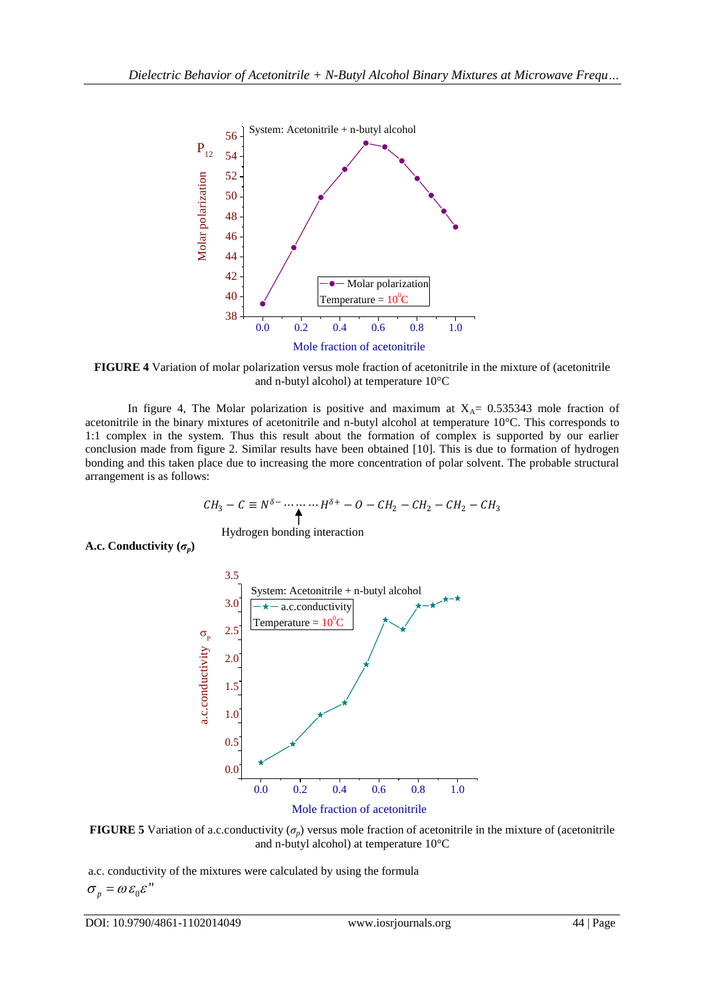

**FIGURE 4** Variation of molar polarization versus mole fraction of acetonitrile in the mixture of (acetonitrile and n-butyl alcohol) at temperature 10°C

In figure 4, The Molar polarization is positive and maximum at  $X_{\text{A}} = 0.535343$  mole fraction of acetonitrile in the binary mixtures of acetonitrile and n-butyl alcohol at temperature 10°C. This corresponds to 1:1 complex in the system. Thus this result about the formation of complex is supported by our earlier conclusion made from figure 2. Similar results have been obtained [10]. This is due to formation of hydrogen bonding and this taken place due to increasing the more concentration of polar solvent. The probable structural arrangement is as follows:

$$
CH_3-C \equiv N^{\delta - \cdots} \cdots H^{\delta +} - O - CH_2 - CH_2 - CH_2 - CH_3
$$

Hydrogen bonding interaction

**A.c. Conductivity**  $(\sigma_p)$ 



**FIGURE 5** Variation of a.c.conductivity  $(\sigma_p)$  versus mole fraction of acetonitrile in the mixture of (acetonitrile and n-butyl alcohol) at temperature 10°C

a.c. conductivity of the mixtures were calculated by using the formula  $\sigma_p = \omega \varepsilon_0 \varepsilon$ "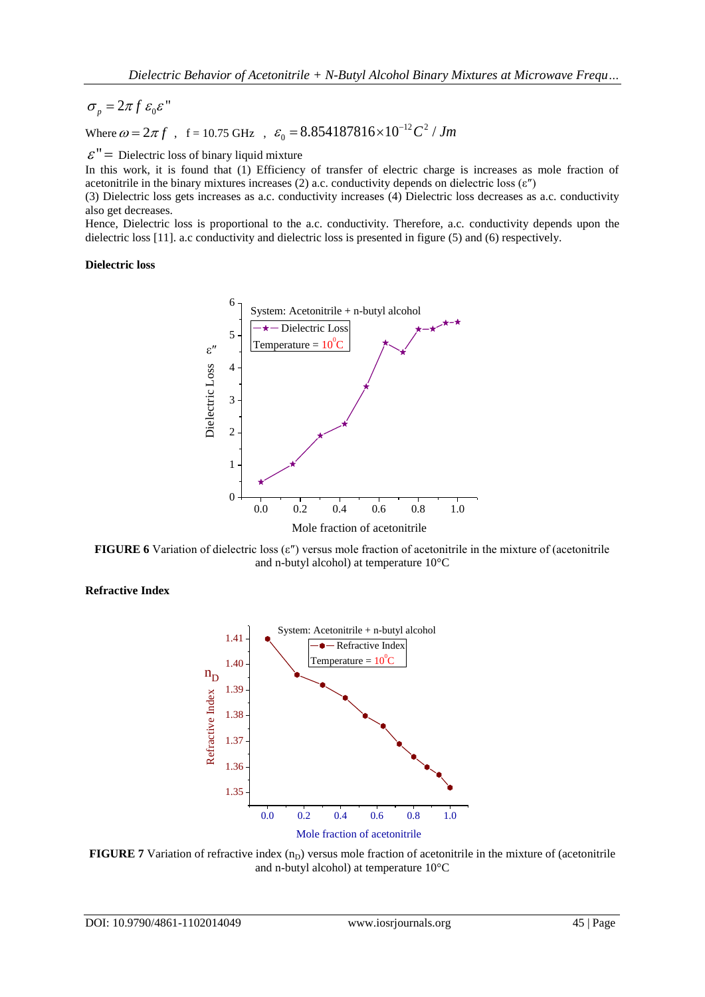$\sigma_p = 2\pi f \varepsilon_0 \varepsilon$ "

 $\varepsilon_p$  = 2.7  $f$ , f = 10.75 GHz,  $\varepsilon_0$  = 8.854187816 × 10<sup>-12</sup> C<sup>2</sup> / Jm

 $\mathcal{E}$ <sup>"</sup> = Dielectric loss of binary liquid mixture

In this work, it is found that (1) Efficiency of transfer of electric charge is increases as mole fraction of acetonitrile in the binary mixtures increases (2) a.c. conductivity depends on dielectric loss (ε″)

(3) Dielectric loss gets increases as a.c. conductivity increases (4) Dielectric loss decreases as a.c. conductivity also get decreases.

Hence, Dielectric loss is proportional to the a.c. conductivity. Therefore, a.c. conductivity depends upon the dielectric loss [11]. a.c conductivity and dielectric loss is presented in figure (5) and (6) respectively.

## **Dielectric loss**



**FIGURE 6** Variation of dielectric loss (ε″) versus mole fraction of acetonitrile in the mixture of (acetonitrile and n-butyl alcohol) at temperature 10°C

## **Refractive Index**



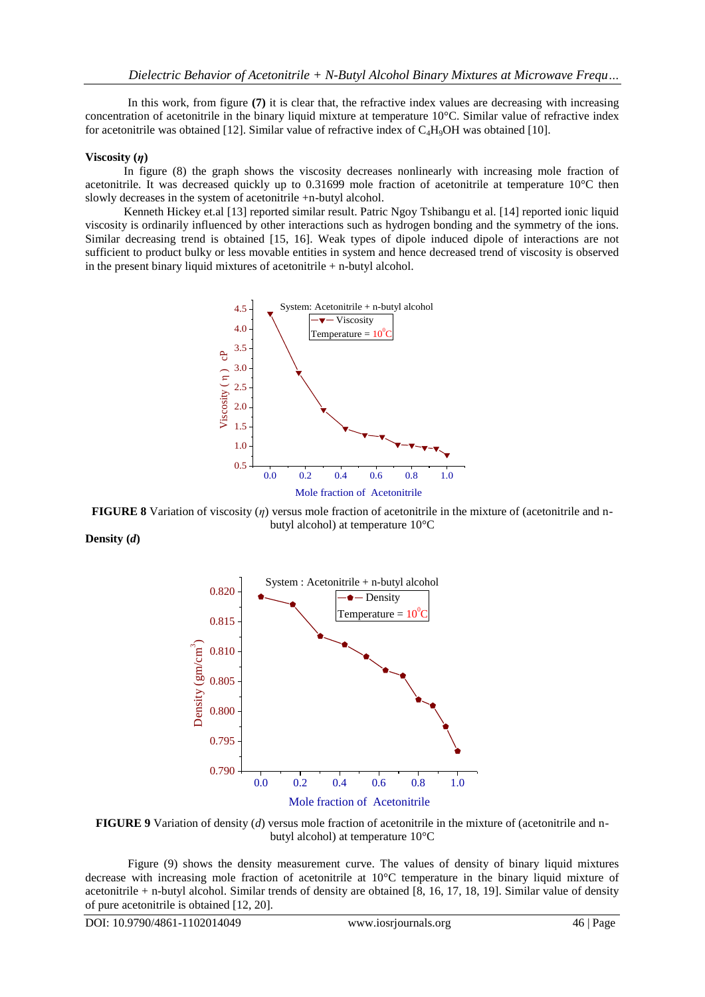In this work, from figure **(7)** it is clear that, the refractive index values are decreasing with increasing concentration of acetonitrile in the binary liquid mixture at temperature  $10^{\circ}$ C. Similar value of refractive index for acetonitrile was obtained [12]. Similar value of refractive index of  $C_4H_9OH$  was obtained [10].

## **Viscosity (***η***)**

 In figure (8) the graph shows the viscosity decreases nonlinearly with increasing mole fraction of acetonitrile. It was decreased quickly up to 0.31699 mole fraction of acetonitrile at temperature 10°C then slowly decreases in the system of acetonitrile +n-butyl alcohol.

 Kenneth Hickey et.al [13] reported similar result. Patric Ngoy Tshibangu et al. [14] reported ionic liquid viscosity is ordinarily influenced by other interactions such as hydrogen bonding and the symmetry of the ions. Similar decreasing trend is obtained [15, 16]. Weak types of dipole induced dipole of interactions are not sufficient to product bulky or less movable entities in system and hence decreased trend of viscosity is observed in the present binary liquid mixtures of acetonitrile + n-butyl alcohol.



**FIGURE 8** Variation of viscosity (*η*) versus mole fraction of acetonitrile in the mixture of (acetonitrile and nbutyl alcohol) at temperature 10°C

**Density (***d***)**



**FIGURE 9** Variation of density (*d*) versus mole fraction of acetonitrile in the mixture of (acetonitrile and nbutyl alcohol) at temperature 10°C

Figure (9) shows the density measurement curve. The values of density of binary liquid mixtures decrease with increasing mole fraction of acetonitrile at 10°C temperature in the binary liquid mixture of acetonitrile + n-butyl alcohol. Similar trends of density are obtained [8, 16, 17, 18, 19]. Similar value of density of pure acetonitrile is obtained [12, 20].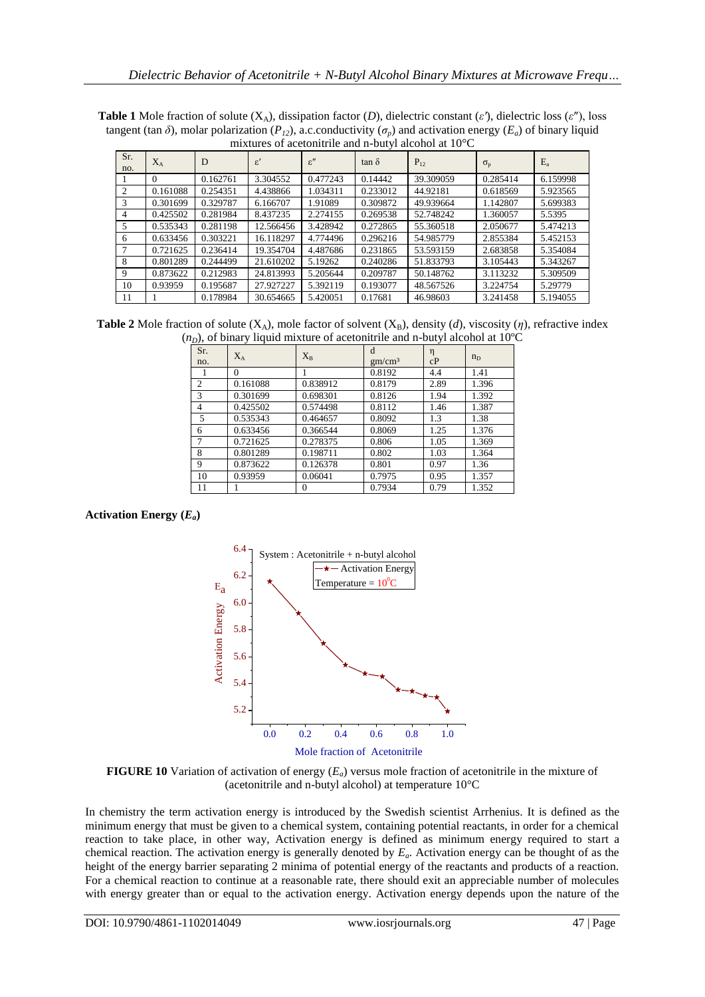| Sr.<br>no. | $X_A$          | D        | $\varepsilon$ | $\varepsilon$ " | $tan \delta$ | $P_{12}$  | $\sigma_{\rm p}$ | $E_{a}$  |
|------------|----------------|----------|---------------|-----------------|--------------|-----------|------------------|----------|
|            | $\overline{0}$ | 0.162761 | 3.304552      | 0.477243        | 0.14442      | 39.309059 | 0.285414         | 6.159998 |
| 2          | 0.161088       | 0.254351 | 4.438866      | 1.034311        | 0.233012     | 44.92181  | 0.618569         | 5.923565 |
| 3          | 0.301699       | 0.329787 | 6.166707      | 1.91089         | 0.309872     | 49.939664 | 1.142807         | 5.699383 |
| 4          | 0.425502       | 0.281984 | 8.437235      | 2.274155        | 0.269538     | 52.748242 | 1.360057         | 5.5395   |
| 5          | 0.535343       | 0.281198 | 12.566456     | 3.428942        | 0.272865     | 55.360518 | 2.050677         | 5.474213 |
| 6          | 0.633456       | 0.303221 | 16.118297     | 4.774496        | 0.296216     | 54.985779 | 2.855384         | 5.452153 |
|            | 0.721625       | 0.236414 | 19.354704     | 4.487686        | 0.231865     | 53.593159 | 2.683858         | 5.354084 |
| 8          | 0.801289       | 0.244499 | 21.610202     | 5.19262         | 0.240286     | 51.833793 | 3.105443         | 5.343267 |
| 9          | 0.873622       | 0.212983 | 24.813993     | 5.205644        | 0.209787     | 50.148762 | 3.113232         | 5.309509 |
| 10         | 0.93959        | 0.195687 | 27.927227     | 5.392119        | 0.193077     | 48.567526 | 3.224754         | 5.29779  |
| 11         |                | 0.178984 | 30.654665     | 5.420051        | 0.17681      | 46.98603  | 3.241458         | 5.194055 |

**Table 1** Mole fraction of solute ( $X_A$ ), dissipation factor (*D*), dielectric constant ( $\varepsilon'$ ), dielectric loss ( $\varepsilon''$ ), loss tangent (tan  $\delta$ ), molar polarization ( $P_{12}$ ), a.c.conductivity ( $\sigma_p$ ) and activation energy ( $E_a$ ) of binary liquid mixtures of acetonitrile and n-butyl alcohol at 10°C

**Table 2** Mole fraction of solute (X<sub>A</sub>), mole factor of solvent (X<sub>B</sub>), density (*d*), viscosity (*η*), refractive index  $(n<sub>D</sub>)$ , of binary liquid mixture of acetonitrile and n-butyl alcohol at 10<sup>o</sup>C

| <i><u>DII - </u></i> | ╯<br>-1 - |          |                         |         |         |
|----------------------|-----------|----------|-------------------------|---------|---------|
| Sr.<br>no.           | $X_A$     | $X_{B}$  | d<br>gm/cm <sup>3</sup> | η<br>cP | $n_{D}$ |
|                      | $\Omega$  |          | 0.8192                  | 4.4     | 1.41    |
| $\overline{2}$       | 0.161088  | 0.838912 | 0.8179                  | 2.89    | 1.396   |
| 3                    | 0.301699  | 0.698301 | 0.8126                  | 1.94    | 1.392   |
| $\overline{4}$       | 0.425502  | 0.574498 | 0.8112                  | 1.46    | 1.387   |
| 5                    | 0.535343  | 0.464657 | 0.8092                  | 1.3     | 1.38    |
| 6                    | 0.633456  | 0.366544 | 0.8069                  | 1.25    | 1.376   |
| $\overline{7}$       | 0.721625  | 0.278375 | 0.806                   | 1.05    | 1.369   |
| 8                    | 0.801289  | 0.198711 | 0.802                   | 1.03    | 1.364   |
| 9                    | 0.873622  | 0.126378 | 0.801                   | 0.97    | 1.36    |
| 10                   | 0.93959   | 0.06041  | 0.7975                  | 0.95    | 1.357   |
| 11                   |           | 0        | 0.7934                  | 0.79    | 1.352   |

## **Activation Energy (***Ea***)**



**FIGURE 10** Variation of activation of energy (*Ea*) versus mole fraction of acetonitrile in the mixture of (acetonitrile and n-butyl alcohol) at temperature 10°C

In chemistry the term activation energy is introduced by the Swedish scientist Arrhenius. It is defined as the minimum energy that must be given to a chemical system, containing potential reactants, in order for a chemical reaction to take place, in other way, Activation energy is defined as minimum energy required to start a chemical reaction. The activation energy is generally denoted by *Ea*. Activation energy can be thought of as the height of the energy barrier separating 2 minima of potential energy of the reactants and products of a reaction. For a chemical reaction to continue at a reasonable rate, there should exit an appreciable number of molecules with energy greater than or equal to the activation energy. Activation energy depends upon the nature of the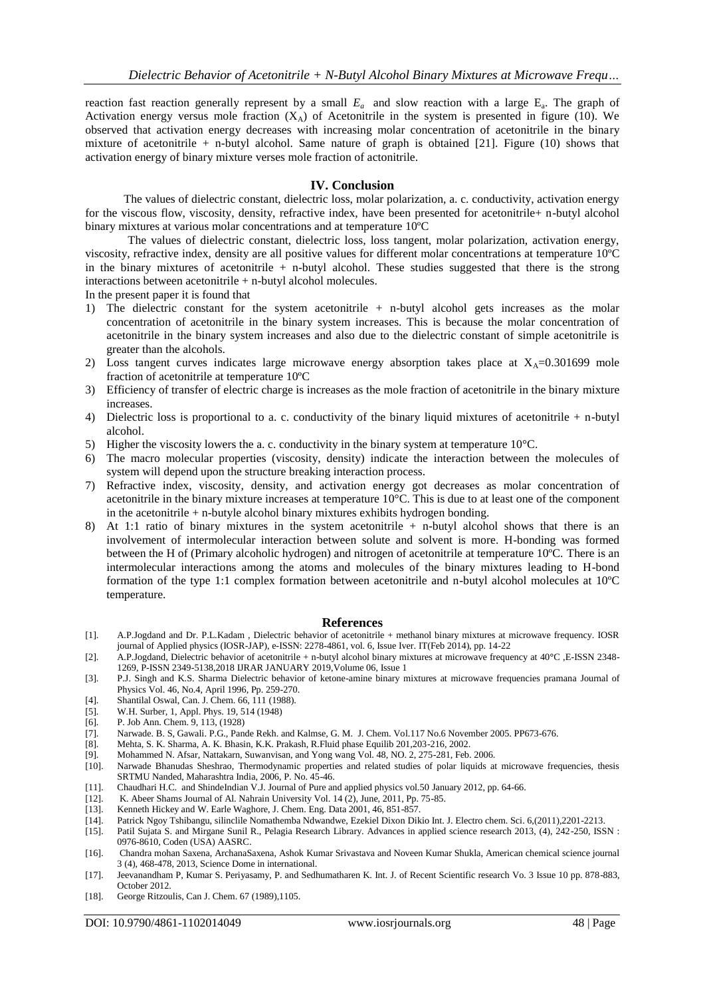reaction fast reaction generally represent by a small  $E_a$  and slow reaction with a large  $E_a$ . The graph of Activation energy versus mole fraction  $(X_A)$  of Acetonitrile in the system is presented in figure (10). We observed that activation energy decreases with increasing molar concentration of acetonitrile in the binary mixture of acetonitrile + n-butyl alcohol. Same nature of graph is obtained [21]. Figure (10) shows that activation energy of binary mixture verses mole fraction of actonitrile.

## **IV. Conclusion**

 The values of dielectric constant, dielectric loss, molar polarization, a. c. conductivity, activation energy for the viscous flow, viscosity, density, refractive index, have been presented for acetonitrile+ n-butyl alcohol binary mixtures at various molar concentrations and at temperature 10ºC

The values of dielectric constant, dielectric loss, loss tangent, molar polarization, activation energy, viscosity, refractive index, density are all positive values for different molar concentrations at temperature 10ºC in the binary mixtures of acetonitrile  $+$  n-butyl alcohol. These studies suggested that there is the strong interactions between acetonitrile + n-butyl alcohol molecules.

In the present paper it is found that

- 1) The dielectric constant for the system acetonitrile + n-butyl alcohol gets increases as the molar concentration of acetonitrile in the binary system increases. This is because the molar concentration of acetonitrile in the binary system increases and also due to the dielectric constant of simple acetonitrile is greater than the alcohols.
- 2) Loss tangent curves indicates large microwave energy absorption takes place at  $X_A=0.301699$  mole fraction of acetonitrile at temperature 10ºC
- 3) Efficiency of transfer of electric charge is increases as the mole fraction of acetonitrile in the binary mixture increases.
- 4) Dielectric loss is proportional to a. c. conductivity of the binary liquid mixtures of acetonitrile + n-butyl alcohol.
- 5) Higher the viscosity lowers the a. c. conductivity in the binary system at temperature  $10^{\circ}$ C.
- 6) The macro molecular properties (viscosity, density) indicate the interaction between the molecules of system will depend upon the structure breaking interaction process.
- 7) Refractive index, viscosity, density, and activation energy got decreases as molar concentration of acetonitrile in the binary mixture increases at temperature 10°C. This is due to at least one of the component in the acetonitrile  $+$  n-butyle alcohol binary mixtures exhibits hydrogen bonding.
- 8) At 1:1 ratio of binary mixtures in the system acetonitrile + n-butyl alcohol shows that there is an involvement of intermolecular interaction between solute and solvent is more. H-bonding was formed between the H of (Primary alcoholic hydrogen) and nitrogen of acetonitrile at temperature 10ºC. There is an intermolecular interactions among the atoms and molecules of the binary mixtures leading to H-bond formation of the type 1:1 complex formation between acetonitrile and n-butyl alcohol molecules at 10ºC temperature.

#### **References**

- [1]. A.P.Jogdand and Dr. P.L.Kadam , Dielectric behavior of acetonitrile + methanol binary mixtures at microwave frequency. IOSR journal of Applied physics (IOSR-JAP), e-ISSN: 2278-4861, vol. 6, Issue Iver. IT(Feb 2014), pp. 14-22
- [2]. A.P.Jogdand, Dielectric behavior of acetonitrile + n-butyl alcohol binary mixtures at microwave frequency at 40**°**C ,E-ISSN 2348- 1269, P-ISSN 2349-5138,2018 IJRAR JANUARY 2019,Volume 06, Issue 1
- [3]. P.J. Singh and K.S. Sharma Dielectric behavior of ketone-amine binary mixtures at microwave frequencies pramana Journal of Physics Vol. 46, No.4, April 1996, Pp. 259-270.
- [4]. Shantilal Oswal, Can. J. Chem. 66, 111 (1988).
- [5]. W.H. Surber, 1, Appl. Phys. 19, 514 (1948)<br>[6]. P. Job Ann. Chem. 9, 113, (1928)
- [6]. P. Job Ann. Chem. 9, 113, (1928)
- [7]. Narwade. B. S, Gawali. P.G., Pande Rekh. and Kalmse, G. M. J. Chem. Vol.117 No.6 November 2005. PP673-676.
- [8]. Mehta, S. K. Sharma, A. K. Bhasin, K.K. Prakash, R.Fluid phase Equilib 201,203-216, 2002.
- [9]. Mohammed N. Afsar, Nattakarn, Suwanvisan, and Yong wang Vol. 48, NO. 2, 275-281, Feb. 2006.
- Narwade Bhanudas Sheshrao, Thermodynamic properties and related studies of polar liquids at microwave frequencies, thesis SRTMU Nanded, Maharashtra India, 2006, P. No. 45-46.
- [11]. Chaudhari H.C. and ShindeIndian V.J. Journal of Pure and applied physics vol.50 January 2012, pp. 64-66.<br>[12]. K. Abeer Shams Journal of Al. Nahrain University Vol. 14 (2), June, 2011, Pp. 75-85.
- K. Abeer Shams Journal of Al. Nahrain University Vol. 14 (2), June, 2011, Pp. 75-85.
- [13]. Kenneth Hickey and W. Earle Waghore, J. Chem. Eng. Data 2001, 46, 851-857.
- [14]. Patrick Ngoy Tshibangu, silinclile Nomathemba Ndwandwe, Ezekiel Dixon Dikio Int. J. Electro chem. Sci. 6,(2011),2201-2213.
- [15]. Patil Sujata S. and Mirgane Sunil R., Pelagia Research Library. Advances in applied science research 2013, (4), 242-250, ISSN : 0976-8610, Coden (USA) AASRC.
- [16]. Chandra mohan Saxena, ArchanaSaxena, Ashok Kumar Srivastava and Noveen Kumar Shukla, American chemical science journal 3 (4), 468-478, 2013, Science Dome in international.
- [17]. Jeevanandham P, Kumar S. Periyasamy, P. and Sedhumatharen K. Int. J. of Recent Scientific research Vo. 3 Issue 10 pp. 878-883, October 2012.
- [18]. George Ritzoulis, Can J. Chem. 67 (1989),1105.